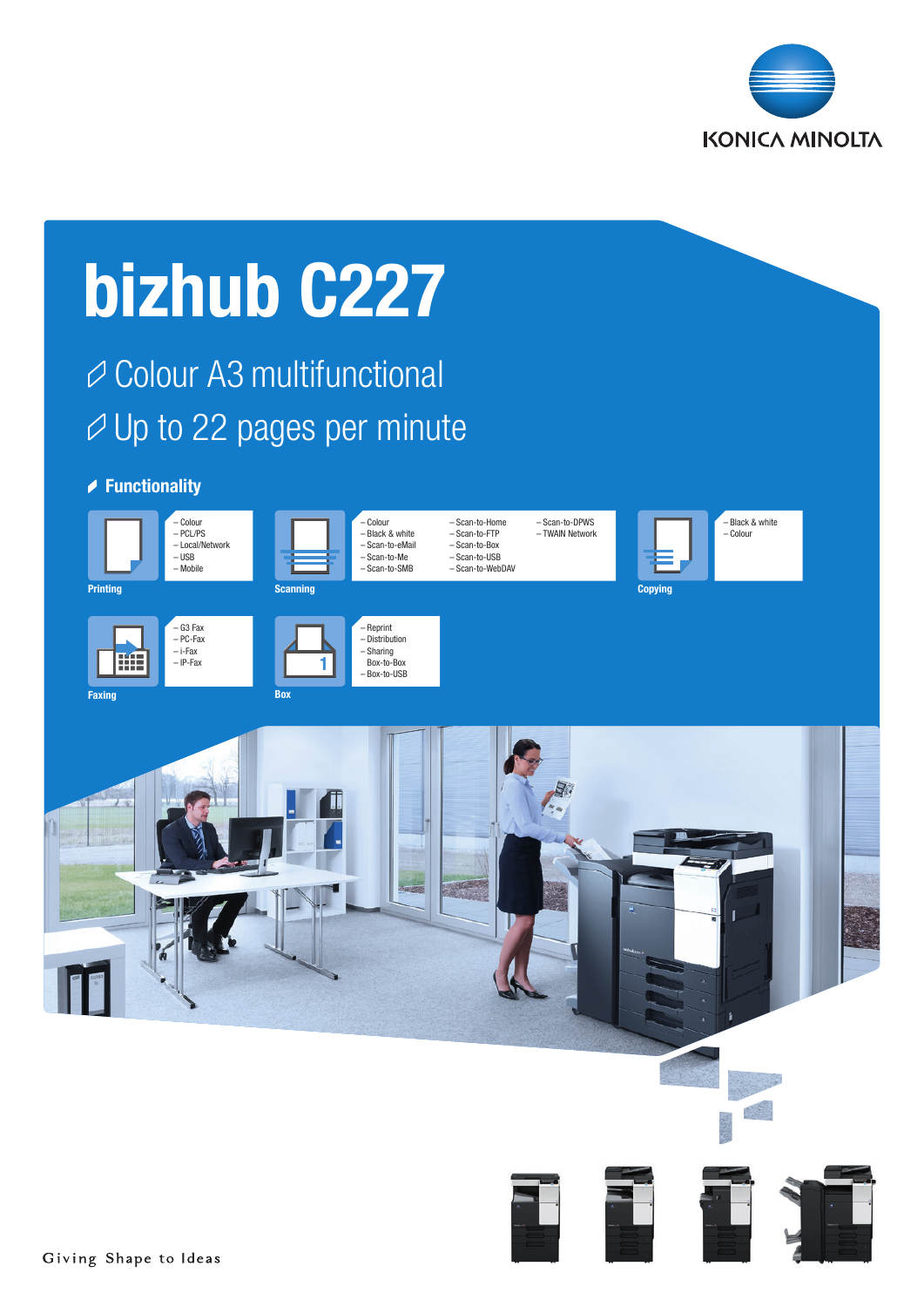

# bizhub C227

# Colour A3 multifunctional  $\varnothing$  Up to 22 pages per minute

### **▶ Functionality**

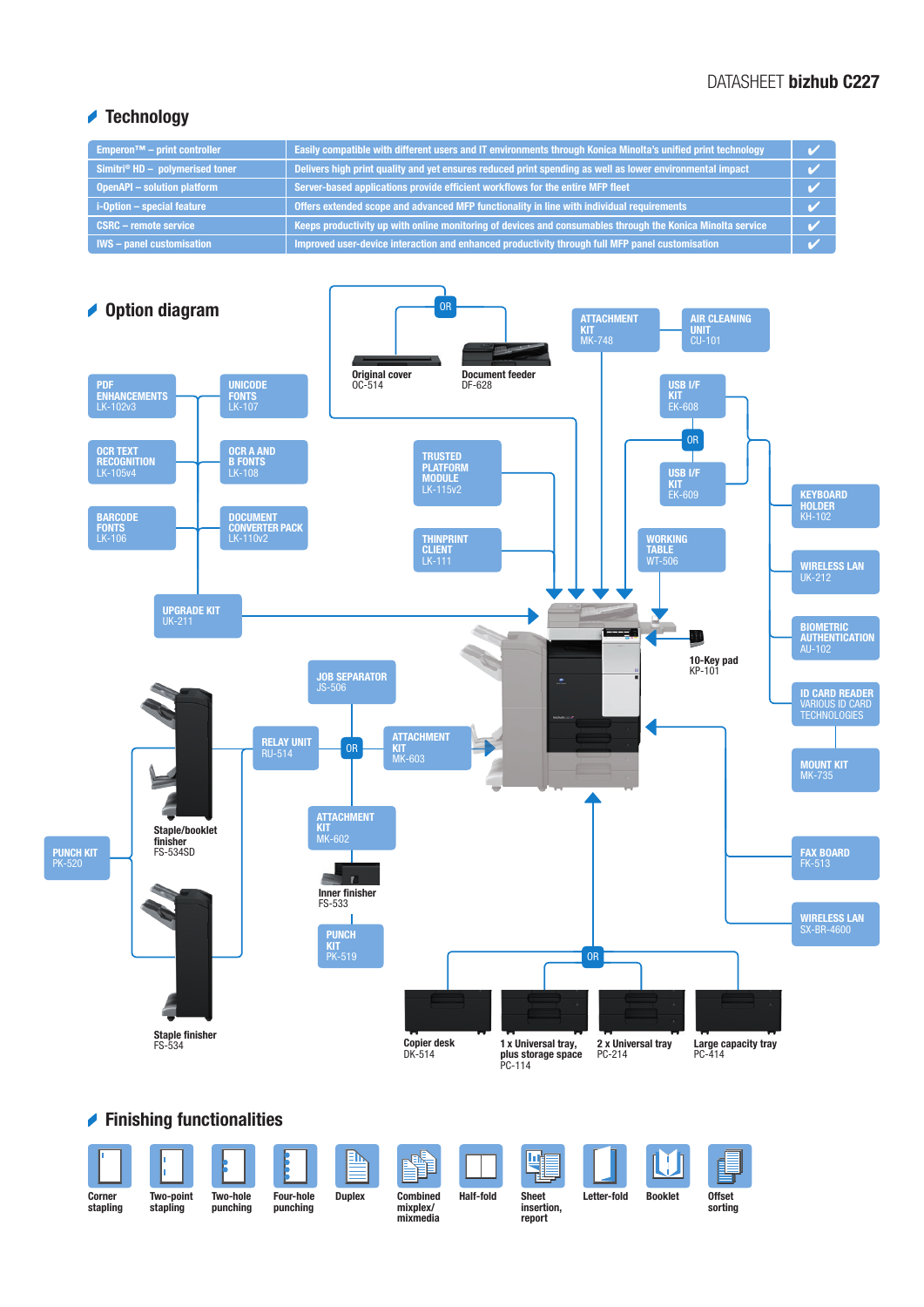#### DATASHEET bizhub C227

### **★ Technology**

| <b>Emperon<sup>™</sup></b> – print controller | Easily compatible with different users and IT environments through Konica Minolta's unified print technology |  |
|-----------------------------------------------|--------------------------------------------------------------------------------------------------------------|--|
| Simitri® $HD -$ polymerised toner             | Delivers high print quality and yet ensures reduced print spending as well as lower environmental impact     |  |
| <b>OpenAPI - solution platform</b>            | Server-based applications provide efficient workflows for the entire MFP fleet                               |  |
| i-Option - special feature                    | Offers extended scope and advanced MFP functionality in line with individual requirements                    |  |
| <b>CSRC - remote service</b>                  | Keeps productivity up with online monitoring of devices and consumables through the Konica Minolta service   |  |
| <b>IWS</b> - panel customisation              | Improved user-device interaction and enhanced productivity through full MFP panel customisation              |  |



## Finishing functionalities

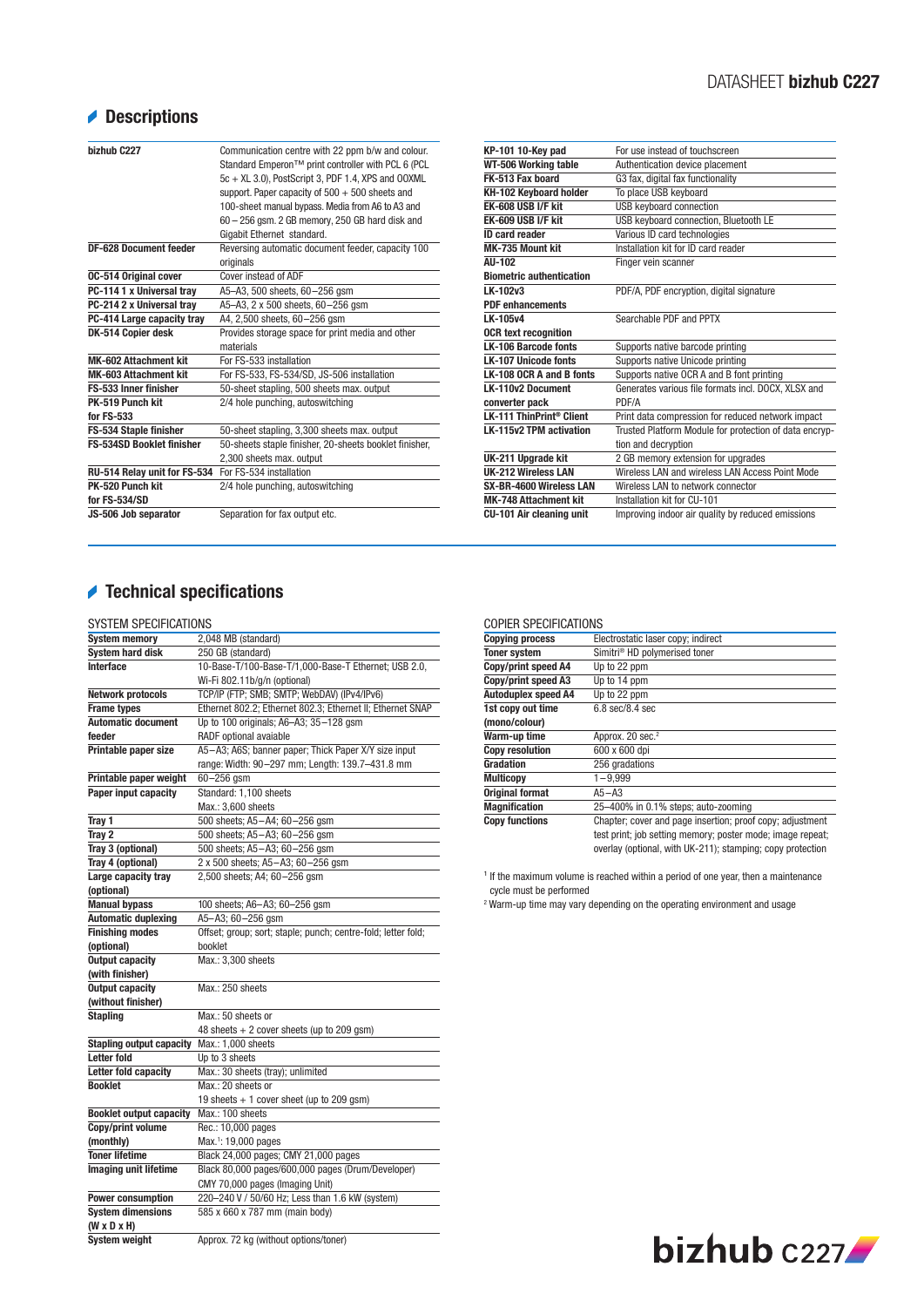# Descriptions

| bizhub C227                      | Communication centre with 22 ppm b/w and colour.<br>Standard Emperon™ print controller with PCL 6 (PCL<br>5c + XL 3.0), PostScript 3, PDF 1.4, XPS and OOXML<br>support. Paper capacity of $500 + 500$ sheets and<br>100-sheet manual bypass. Media from A6 to A3 and<br>$60 - 256$ gsm. 2 GB memory, 250 GB hard disk and<br>Gigabit Ethernet standard. |
|----------------------------------|----------------------------------------------------------------------------------------------------------------------------------------------------------------------------------------------------------------------------------------------------------------------------------------------------------------------------------------------------------|
| <b>DF-628 Document feeder</b>    | Reversing automatic document feeder, capacity 100                                                                                                                                                                                                                                                                                                        |
|                                  | originals                                                                                                                                                                                                                                                                                                                                                |
| <b>0C-514 Original cover</b>     | Cover instead of ADF                                                                                                                                                                                                                                                                                                                                     |
| PC-114 1 x Universal tray        | A5-A3, 500 sheets, 60-256 gsm                                                                                                                                                                                                                                                                                                                            |
| PC-214 2 x Universal tray        | A5-A3, 2 x 500 sheets, 60-256 qsm                                                                                                                                                                                                                                                                                                                        |
| PC-414 Large capacity tray       | A4, 2,500 sheets, 60-256 gsm                                                                                                                                                                                                                                                                                                                             |
| DK-514 Copier desk               | Provides storage space for print media and other                                                                                                                                                                                                                                                                                                         |
|                                  | materials                                                                                                                                                                                                                                                                                                                                                |
| <b>MK-602 Attachment kit</b>     | For FS-533 installation                                                                                                                                                                                                                                                                                                                                  |
| MK-603 Attachment kit            | For FS-533, FS-534/SD, JS-506 installation                                                                                                                                                                                                                                                                                                               |
| FS-533 Inner finisher            | 50-sheet stapling, 500 sheets max. output                                                                                                                                                                                                                                                                                                                |
| PK-519 Punch kit                 | 2/4 hole punching, autoswitching                                                                                                                                                                                                                                                                                                                         |
| for FS-533                       |                                                                                                                                                                                                                                                                                                                                                          |
| FS-534 Staple finisher           | 50-sheet stapling, 3,300 sheets max. output                                                                                                                                                                                                                                                                                                              |
| <b>FS-534SD Booklet finisher</b> | 50-sheets staple finisher, 20-sheets booklet finisher,                                                                                                                                                                                                                                                                                                   |
|                                  | 2,300 sheets max. output                                                                                                                                                                                                                                                                                                                                 |
| RU-514 Relay unit for FS-534     | For FS-534 installation                                                                                                                                                                                                                                                                                                                                  |
| PK-520 Punch kit                 | 2/4 hole punching, autoswitching                                                                                                                                                                                                                                                                                                                         |
| for FS-534/SD                    |                                                                                                                                                                                                                                                                                                                                                          |
| JS-506 Job separator             | Separation for fax output etc.                                                                                                                                                                                                                                                                                                                           |

| KP-101 10-Key pad               | For use instead of touchscreen                         |
|---------------------------------|--------------------------------------------------------|
| WT-506 Working table            | Authentication device placement                        |
| FK-513 Fax board                | G3 fax, digital fax functionality                      |
| KH-102 Keyboard holder          | To place USB keyboard                                  |
| EK-608 USB I/F kit              | <b>USB keyboard connection</b>                         |
| EK-609 USB I/F kit              | USB keyboard connection, Bluetooth LE                  |
| <b>ID card reader</b>           | Various ID card technologies                           |
| MK-735 Mount kit                | Installation kit for ID card reader                    |
| AU-102                          | Finger vein scanner                                    |
| <b>Biometric authentication</b> |                                                        |
| LK-102v3                        | PDF/A, PDF encryption, digital signature               |
| <b>PDF</b> enhancements         |                                                        |
| LK-105v4                        | Searchable PDF and PPTX                                |
| <b>OCR text recognition</b>     |                                                        |
| <b>LK-106 Barcode fonts</b>     | Supports native barcode printing                       |
| <b>LK-107 Unicode fonts</b>     | Supports native Unicode printing                       |
| LK-108 OCR A and B fonts        | Supports native OCR A and B font printing              |
| LK-110v2 Document               | Generates various file formats incl. DOCX, XLSX and    |
| converter pack                  | PDF/A                                                  |
| LK-111 ThinPrint® Client        | Print data compression for reduced network impact      |
| <b>LK-115v2 TPM activation</b>  | Trusted Platform Module for protection of data encryp- |
|                                 | tion and decryption                                    |
| UK-211 Upgrade kit              | 2 GB memory extension for upgrades                     |
| UK-212 Wireless LAN             | Wireless LAN and wireless LAN Access Point Mode        |
| SX-BR-4600 Wireless LAN         | Wireless LAN to network connector                      |
| <b>MK-748 Attachment kit</b>    | Installation kit for CII-101                           |
| <b>CU-101 Air cleaning unit</b> | Improving indoor air quality by reduced emissions      |
|                                 |                                                        |

# Technical specifications

#### SYSTEM SPECIFICATIONS

| <b>System memory</b>                            | 2,048 MB (standard)                                           |
|-------------------------------------------------|---------------------------------------------------------------|
| <b>System hard disk</b>                         | 250 GB (standard)                                             |
| Interface                                       | 10-Base-T/100-Base-T/1,000-Base-T Ethernet; USB 2.0,          |
|                                                 | Wi-Fi 802.11b/g/n (optional)                                  |
| <b>Network protocols</b>                        | TCP/IP (FTP; SMB; SMTP; WebDAV) (IPv4/IPv6)                   |
| <b>Frame types</b>                              | Ethernet 802.2; Ethernet 802.3; Ethernet II; Ethernet SNAP    |
| <b>Automatic document</b>                       | Up to 100 originals; A6-A3; 35-128 gsm                        |
| feeder                                          | RADF optional avaiable                                        |
| Printable paper size                            | A5-A3; A6S; banner paper; Thick Paper X/Y size input          |
|                                                 | range: Width: 90-297 mm; Length: 139.7-431.8 mm               |
| Printable paper weight                          | $60 - 256$ qsm                                                |
| Paper input capacity                            | Standard: 1,100 sheets                                        |
|                                                 | Max.: 3.600 sheets                                            |
| Tray 1                                          | 500 sheets; A5-A4; 60-256 gsm                                 |
| Tray 2                                          | 500 sheets; A5-A3; 60-256 gsm                                 |
| Tray 3 (optional)                               | 500 sheets; A5-A3; 60-256 qsm                                 |
| Tray 4 (optional)                               | 2 x 500 sheets; A5-A3; 60-256 gsm                             |
| Large capacity tray                             | 2,500 sheets; A4; 60-256 gsm                                  |
| (optional)                                      |                                                               |
| <b>Manual bypass</b>                            | 100 sheets; A6-A3; 60-256 gsm                                 |
| <b>Automatic duplexing</b>                      | A5-A3; 60-256 gsm                                             |
| <b>Finishing modes</b>                          | Offset; group; sort; staple; punch; centre-fold; letter fold; |
| (optional)                                      | booklet                                                       |
| <b>Output capacity</b>                          | Max.: 3,300 sheets                                            |
| (with finisher)                                 |                                                               |
| <b>Output capacity</b>                          | Max.: 250 sheets                                              |
| (without finisher)                              |                                                               |
| <b>Stapling</b>                                 | Max.: 50 sheets or                                            |
|                                                 |                                                               |
|                                                 | 48 sheets + 2 cover sheets (up to 209 gsm)                    |
| <b>Stapling output capacity</b>                 | Max.: 1,000 sheets                                            |
| <b>Letter fold</b>                              | Up to 3 sheets                                                |
| Letter fold capacity                            | Max.: 30 sheets (tray); unlimited                             |
| <b>Booklet</b>                                  | Max.: 20 sheets or                                            |
|                                                 | 19 sheets $+ 1$ cover sheet (up to 209 gsm)                   |
| <b>Booklet output capacity</b>                  | Max.: 100 sheets                                              |
| Copy/print volume                               | Rec.: 10,000 pages                                            |
| (monthly)                                       | Max. <sup>1</sup> : 19,000 pages                              |
| <b>Toner lifetime</b>                           | Black 24,000 pages; CMY 21,000 pages                          |
| Imaging unit lifetime                           | Black 80,000 pages/600,000 pages (Drum/Developer)             |
|                                                 | CMY 70,000 pages (Imaging Unit)                               |
| <b>Power consumption</b>                        | 220-240 V / 50/60 Hz; Less than 1.6 kW (system)               |
| <b>System dimensions</b>                        | 585 x 660 x 787 mm (main body)                                |
| $(W \times D \times H)$<br><b>System weight</b> | Approx. 72 kg (without options/toner)                         |

#### COPIER SPECIFICATIONS

| UUF ILIT OF LUII IUMHUINJ  |                                                                                                                         |
|----------------------------|-------------------------------------------------------------------------------------------------------------------------|
| <b>Copying process</b>     | Electrostatic laser copy; indirect                                                                                      |
| <b>Toner system</b>        | Simitri <sup>®</sup> HD polymerised toner                                                                               |
| Copy/print speed A4        | Up to 22 ppm                                                                                                            |
| Copy/print speed A3        | Up to 14 ppm                                                                                                            |
| <b>Autoduplex speed A4</b> | Up to 22 ppm                                                                                                            |
| 1st copy out time          | $6.8$ sec/ $8.4$ sec                                                                                                    |
| (mono/colour)              |                                                                                                                         |
| Warm-up time               | Approx. 20 sec. <sup>2</sup>                                                                                            |
| <b>Copy resolution</b>     | 600 x 600 dpi                                                                                                           |
| Gradation                  | 256 gradations                                                                                                          |
| <b>Multicopy</b>           | $1 - 9,999$                                                                                                             |
| <b>Original format</b>     | $A5 - A3$                                                                                                               |
| <b>Magnification</b>       | 25-400% in 0.1% steps; auto-zooming                                                                                     |
| <b>Copy functions</b>      | Chapter; cover and page insertion; proof copy; adjustment<br>test print; job setting memory; poster mode; image repeat; |
|                            | overlay (optional, with UK-211); stamping; copy protection                                                              |

 $<sup>1</sup>$  If the maximum volume is reached within a period of one year, then a maintenance</sup>

cycle must be performed 2 Warm-up time may vary depending on the operating environment and usage